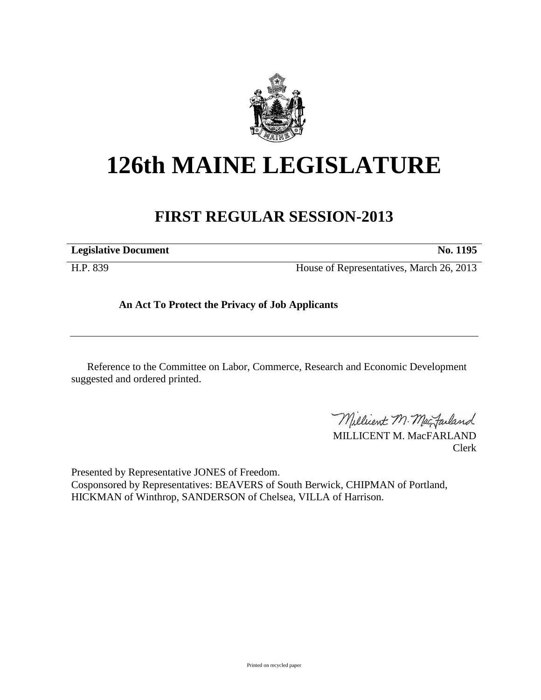

## **126th MAINE LEGISLATURE**

## **FIRST REGULAR SESSION-2013**

**Legislative Document No. 1195**

H.P. 839 House of Representatives, March 26, 2013

**An Act To Protect the Privacy of Job Applicants**

Reference to the Committee on Labor, Commerce, Research and Economic Development suggested and ordered printed.

Millicent M. MacJarland

MILLICENT M. MacFARLAND Clerk

Presented by Representative JONES of Freedom. Cosponsored by Representatives: BEAVERS of South Berwick, CHIPMAN of Portland, HICKMAN of Winthrop, SANDERSON of Chelsea, VILLA of Harrison.